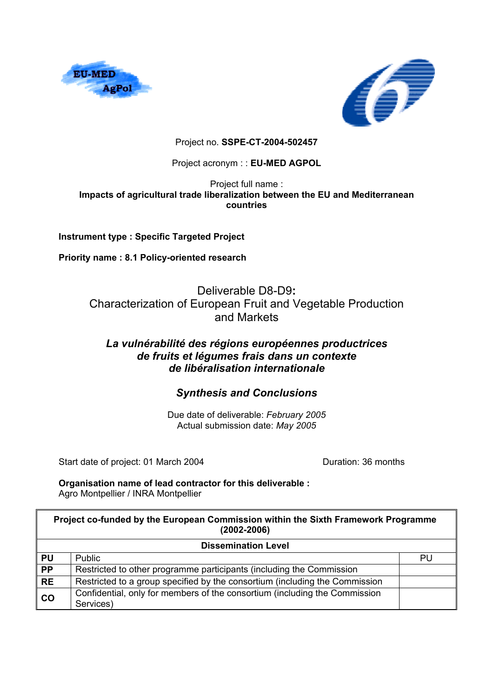



# Project no. **SSPE-CT-2004-502457**

## Project acronym : : **EU-MED AGPOL**

#### Project full name : **Impacts of agricultural trade liberalization between the EU and Mediterranean countries**

**Instrument type : Specific Targeted Project** 

**Priority name : 8.1 Policy-oriented research** 

Deliverable D8-D9**:**  Characterization of European Fruit and Vegetable Production and Markets

# *La vulnérabilité des régions européennes productrices de fruits et légumes frais dans un contexte de libéralisation internationale*

# *Synthesis and Conclusions*

Due date of deliverable: *February 2005*  Actual submission date: *May 2005* 

Start date of project: 01 March 2004 Duration: 36 months

#### **Organisation name of lead contractor for this deliverable :**  Agro Montpellier / INRA Montpellier

| Project co-funded by the European Commission within the Sixth Framework Programme<br>$(2002 - 2006)$ |                                                                                         |    |  |  |
|------------------------------------------------------------------------------------------------------|-----------------------------------------------------------------------------------------|----|--|--|
| <b>Dissemination Level</b>                                                                           |                                                                                         |    |  |  |
| <b>PU</b>                                                                                            | Public                                                                                  | PU |  |  |
| <b>PP</b>                                                                                            | Restricted to other programme participants (including the Commission                    |    |  |  |
| <b>RE</b>                                                                                            | Restricted to a group specified by the consortium (including the Commission             |    |  |  |
| co                                                                                                   | Confidential, only for members of the consortium (including the Commission<br>Services) |    |  |  |
|                                                                                                      |                                                                                         |    |  |  |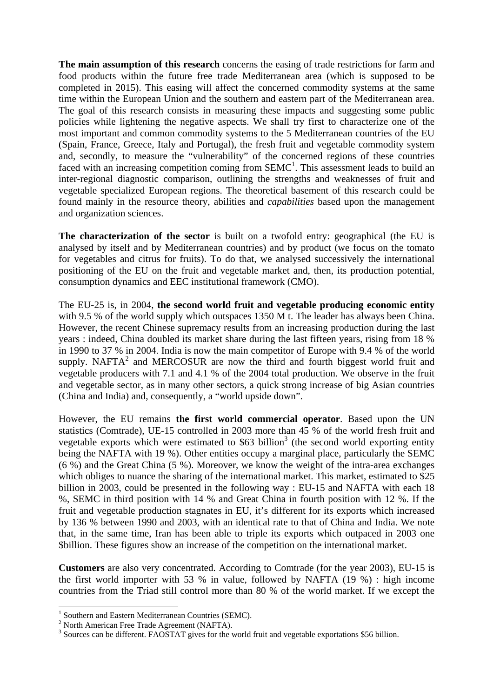**The main assumption of this research** concerns the easing of trade restrictions for farm and food products within the future free trade Mediterranean area (which is supposed to be completed in 2015). This easing will affect the concerned commodity systems at the same time within the European Union and the southern and eastern part of the Mediterranean area. The goal of this research consists in measuring these impacts and suggesting some public policies while lightening the negative aspects. We shall try first to characterize one of the most important and common commodity systems to the 5 Mediterranean countries of the EU (Spain, France, Greece, Italy and Portugal), the fresh fruit and vegetable commodity system and, secondly, to measure the "vulnerability" of the concerned regions of these countries faced with an increasing competition coming from  $SEMC<sup>1</sup>$ . This assessment leads to build an inter-regional diagnostic comparison, outlining the strengths and weaknesses of fruit and vegetable specialized European regions. The theoretical basement of this research could be found mainly in the resource theory, abilities and *capabilities* based upon the management and organization sciences.

**The characterization of the sector** is built on a twofold entry: geographical (the EU is analysed by itself and by Mediterranean countries) and by product (we focus on the tomato for vegetables and citrus for fruits). To do that, we analysed successively the international positioning of the EU on the fruit and vegetable market and, then, its production potential, consumption dynamics and EEC institutional framework (CMO).

The EU-25 is, in 2004, **the second world fruit and vegetable producing economic entity** with 9.5 % of the world supply which outspaces 1350 M t. The leader has always been China. However, the recent Chinese supremacy results from an increasing production during the last years : indeed, China doubled its market share during the last fifteen years, rising from 18 % in 1990 to 37 % in 2004. India is now the main competitor of Europe with 9.4 % of the world supply. NAFTA<sup>2</sup> and MERCOSUR are now the third and fourth biggest world fruit and vegetable producers with 7.1 and 4.1 % of the 2004 total production. We observe in the fruit and vegetable sector, as in many other sectors, a quick strong increase of big Asian countries (China and India) and, consequently, a "world upside down".

However, the EU remains **the first world commercial operator**. Based upon the UN statistics (Comtrade), UE-15 controlled in 2003 more than 45 % of the world fresh fruit and vegetable exports which were estimated to  $$63$  billion<sup>3</sup> (the second world exporting entity being the NAFTA with 19 %). Other entities occupy a marginal place, particularly the SEMC (6 %) and the Great China (5 %). Moreover, we know the weight of the intra-area exchanges which obliges to nuance the sharing of the international market. This market, estimated to \$25 billion in 2003, could be presented in the following way : EU-15 and NAFTA with each 18 %, SEMC in third position with 14 % and Great China in fourth position with 12 %. If the fruit and vegetable production stagnates in EU, it's different for its exports which increased by 136 % between 1990 and 2003, with an identical rate to that of China and India. We note that, in the same time, Iran has been able to triple its exports which outpaced in 2003 one \$billion. These figures show an increase of the competition on the international market.

**Customers** are also very concentrated. According to Comtrade (for the year 2003), EU-15 is the first world importer with 53 % in value, followed by NAFTA (19 %) : high income countries from the Triad still control more than 80 % of the world market. If we except the

<sup>&</sup>lt;sup>1</sup> Southern and Eastern Mediterranean Countries (SEMC).

 $2$  North American Free Trade Agreement (NAFTA).

<sup>&</sup>lt;sup>3</sup> Sources can be different. FAOSTAT gives for the world fruit and vegetable exportations \$56 billion.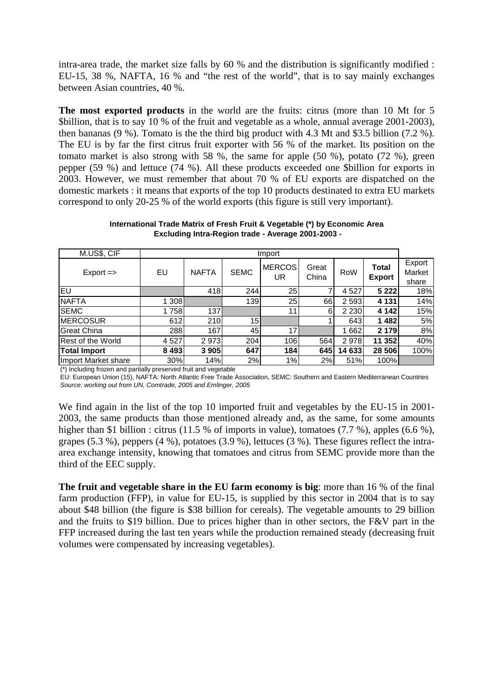intra-area trade, the market size falls by 60 % and the distribution is significantly modified : EU-15, 38 %, NAFTA, 16 % and "the rest of the world", that is to say mainly exchanges between Asian countries, 40 %.

**The most exported products** in the world are the fruits: citrus (more than 10 Mt for 5 \$billion, that is to say 10 % of the fruit and vegetable as a whole, annual average 2001-2003), then bananas (9 %). Tomato is the the third big product with 4.3 Mt and \$3.5 billion (7.2 %). The EU is by far the first citrus fruit exporter with 56 % of the market. Its position on the tomato market is also strong with 58 %, the same for apple (50 %), potato (72 %), green pepper (59 %) and lettuce (74 %). All these products exceeded one \$billion for exports in 2003. However, we must remember that about 70 % of EU exports are dispatched on the domestic markets : it means that exports of the top 10 products destinated to extra EU markets correspond to only 20-25 % of the world exports (this figure is still very important).

| M.US\$, CIF              | Import  |              |                 |                     |                |         |                        |                           |
|--------------------------|---------|--------------|-----------------|---------------------|----------------|---------|------------------------|---------------------------|
| $Export =$               | EU      | <b>NAFTA</b> | <b>SEMC</b>     | <b>MERCOS</b><br>UR | Great<br>China | RoW     | Total<br><b>Export</b> | Export<br>Market<br>share |
| EU                       |         | 418          | 244             | 25                  |                | 4527    | 5 2 2 2                | 18%                       |
| <b>NAFTA</b>             | 1 3 0 8 |              | 139             | 25                  | 66             | 2 5 9 3 | 4 1 3 1                | 14%                       |
| <b>SEMC</b>              | 1758    | 137          |                 | 11                  | 6              | 2 2 3 0 | 4 1 4 2                | 15%                       |
| <b>MERCOSUR</b>          | 612     | 210          | 15 <sup>1</sup> |                     |                | 643     | 1482                   | 5%                        |
| <b>Great China</b>       | 288     | 167          | 45              | 17                  |                | 662     | 2 1 7 9                | 8%                        |
| <b>Rest of the World</b> | 4 5 27  | 2973         | 204             | 106                 | 564            | 2978    | 11 352                 | 40%                       |
| <b>Total Import</b>      | 8 4 9 3 | 3 9 0 5      | 647             | 184                 | 645            | 14 633  | 28 506                 | 100%                      |
| Import Market share      | 30%     | 14%          | 2%              | 1%                  | 2%             | 51%     | 100%I                  |                           |

**International Trade Matrix of Fresh Fruit & Vegetable (\*) by Economic Area Excluding Intra-Region trade - Average 2001-2003 -**

(\*) Including frozen and partially preserved fruit and vegetable

EU: European Union (15), NAFTA: North Atlantic Free Trade Association, SEMC: Southern and Eastern Mediterranean Countries *Source: working out from UN, Comtrade, 2005 and Emlinger, 2005*

We find again in the list of the top 10 imported fruit and vegetables by the EU-15 in 2001- 2003, the same products than those mentioned already and, as the same, for some amounts higher than \$1 billion : citrus (11.5 % of imports in value), tomatoes (7.7 %), apples (6.6 %), grapes (5.3 %), peppers (4 %), potatoes (3.9 %), lettuces (3 %). These figures reflect the intraarea exchange intensity, knowing that tomatoes and citrus from SEMC provide more than the third of the EEC supply.

**The fruit and vegetable share in the EU farm economy is big**: more than 16 % of the final farm production (FFP), in value for EU-15, is supplied by this sector in 2004 that is to say about \$48 billion (the figure is \$38 billion for cereals). The vegetable amounts to 29 billion and the fruits to \$19 billion. Due to prices higher than in other sectors, the F&V part in the FFP increased during the last ten years while the production remained steady (decreasing fruit volumes were compensated by increasing vegetables).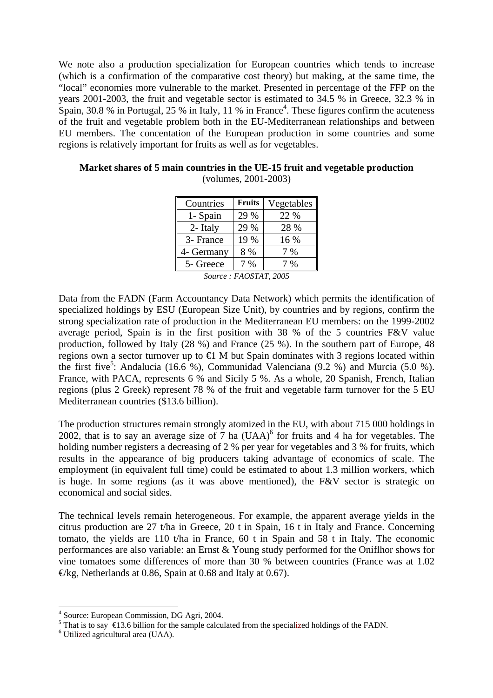We note also a production specialization for European countries which tends to increase (which is a confirmation of the comparative cost theory) but making, at the same time, the "local" economies more vulnerable to the market. Presented in percentage of the FFP on the years 2001-2003, the fruit and vegetable sector is estimated to 34.5 % in Greece, 32.3 % in Spain, 30.8 % in Portugal, 25 % in Italy, 11 % in France<sup>4</sup>. These figures confirm the acuteness of the fruit and vegetable problem both in the EU-Mediterranean relationships and between EU members. The concentation of the European production in some countries and some regions is relatively important for fruits as well as for vegetables.

| Countries  | <b>Fruits</b> | Vegetables |
|------------|---------------|------------|
| 1- Spain   | 29 %          | 22 %       |
| 2- Italy   | 29 %          | 28 %       |
| 3- France  | 19 %          | 16 %       |
| 4- Germany | 8 %           | 7 %        |
| 5- Greece  | $\frac{0}{6}$ | $\%$       |

**Market shares of 5 main countries in the UE-15 fruit and vegetable production**  (volumes, 2001-2003)

*Source : FAOSTAT, 2005* 

Data from the FADN (Farm Accountancy Data Network) which permits the identification of specialized holdings by ESU (European Size Unit), by countries and by regions, confirm the strong specialization rate of production in the Mediterranean EU members: on the 1999-2002 average period, Spain is in the first position with 38 % of the 5 countries F&V value production, followed by Italy (28 %) and France (25 %). In the southern part of Europe, 48 regions own a sector turnover up to  $\oplus$  M but Spain dominates with 3 regions located within the first five<sup>5</sup>: Andalucia (16.6 %), Communidad Valenciana (9.2 %) and Murcia (5.0 %). France, with PACA, represents 6 % and Sicily 5 %. As a whole, 20 Spanish, French, Italian regions (plus 2 Greek) represent 78 % of the fruit and vegetable farm turnover for the 5 EU Mediterranean countries (\$13.6 billion).

The production structures remain strongly atomized in the EU, with about 715 000 holdings in 2002, that is to say an average size of  $7$  ha (UAA)<sup>6</sup> for fruits and 4 ha for vegetables. The holding number registers a decreasing of 2 % per year for vegetables and 3 % for fruits, which results in the appearance of big producers taking advantage of economics of scale. The employment (in equivalent full time) could be estimated to about 1.3 million workers, which is huge. In some regions (as it was above mentioned), the F&V sector is strategic on economical and social sides.

The technical levels remain heterogeneous. For example, the apparent average yields in the citrus production are 27 t/ha in Greece, 20 t in Spain, 16 t in Italy and France. Concerning tomato, the yields are 110 t/ha in France, 60 t in Spain and 58 t in Italy. The economic performances are also variable: an Ernst & Young study performed for the Oniflhor shows for vine tomatoes some differences of more than 30 % between countries (France was at 1.02  $\Theta$ kg, Netherlands at 0.86, Spain at 0.68 and Italy at 0.67).

<sup>4</sup> Source: European Commission, DG Agri, 2004.

<sup>&</sup>lt;sup>5</sup> That is to say  $\bigoplus$  3.6 billion for the sample calculated from the specialized holdings of the FADN.

Utilized agricultural area (UAA).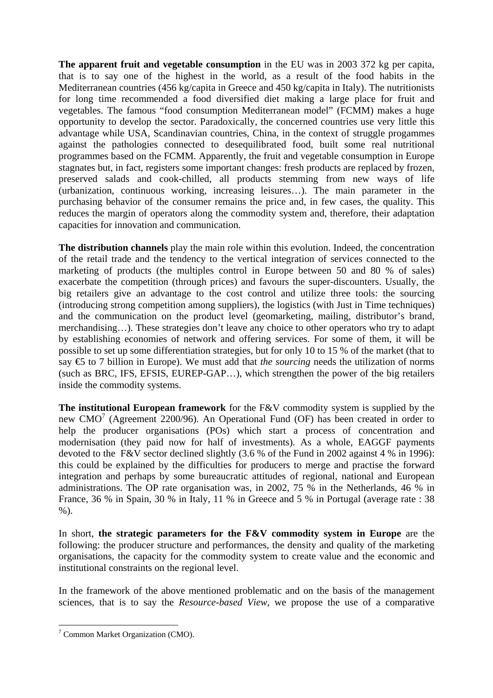**The apparent fruit and vegetable consumption** in the EU was in 2003 372 kg per capita, that is to say one of the highest in the world, as a result of the food habits in the Mediterranean countries (456 kg/capita in Greece and 450 kg/capita in Italy). The nutritionists for long time recommended a food diversified diet making a large place for fruit and vegetables. The famous "food consumption Mediterranean model" (FCMM) makes a huge opportunity to develop the sector. Paradoxically, the concerned countries use very little this advantage while USA, Scandinavian countries, China, in the context of struggle progammes against the pathologies connected to desequilibrated food, built some real nutritional programmes based on the FCMM. Apparently, the fruit and vegetable consumption in Europe stagnates but, in fact, registers some important changes: fresh products are replaced by frozen, preserved salads and cook-chilled, all products stemming from new ways of life (urbanization, continuous working, increasing leisures…). The main parameter in the purchasing behavior of the consumer remains the price and, in few cases, the quality. This reduces the margin of operators along the commodity system and, therefore, their adaptation capacities for innovation and communication.

**The distribution channels** play the main role within this evolution. Indeed, the concentration of the retail trade and the tendency to the vertical integration of services connected to the marketing of products (the multiples control in Europe between 50 and 80 % of sales) exacerbate the competition (through prices) and favours the super-discounters. Usually, the big retailers give an advantage to the cost control and utilize three tools: the sourcing (introducing strong competition among suppliers), the logistics (with Just in Time techniques) and the communication on the product level (geomarketing, mailing, distributor's brand, merchandising…). These strategies don't leave any choice to other operators who try to adapt by establishing economies of network and offering services. For some of them, it will be possible to set up some differentiation strategies, but for only 10 to 15 % of the market (that to say  $\epsilon$  to 7 billion in Europe). We must add that *the sourcing* needs the utilization of norms (such as BRC, IFS, EFSIS, EUREP-GAP…), which strengthen the power of the big retailers inside the commodity systems.

**The institutional European framework** for the F&V commodity system is supplied by the new CMO<sup>7</sup> (Agreement 2200/96). An Operational Fund (OF) has been created in order to help the producer organisations (POs) which start a process of concentration and modernisation (they paid now for half of investments). As a whole, EAGGF payments devoted to the F&V sector declined slightly (3.6 % of the Fund in 2002 against 4 % in 1996): this could be explained by the difficulties for producers to merge and practise the forward integration and perhaps by some bureaucratic attitudes of regional, national and European administrations. The OP rate organisation was, in 2002, 75 % in the Netherlands, 46 % in France, 36 % in Spain, 30 % in Italy, 11 % in Greece and 5 % in Portugal (average rate : 38 %).

In short, **the strategic parameters for the F&V commodity system in Europe** are the following: the producer structure and performances, the density and quality of the marketing organisations, the capacity for the commodity system to create value and the economic and institutional constraints on the regional level.

In the framework of the above mentioned problematic and on the basis of the management sciences, that is to say the *Resource-based View*, we propose the use of a comparative

<sup>&</sup>lt;sup>7</sup> Common Market Organization (CMO).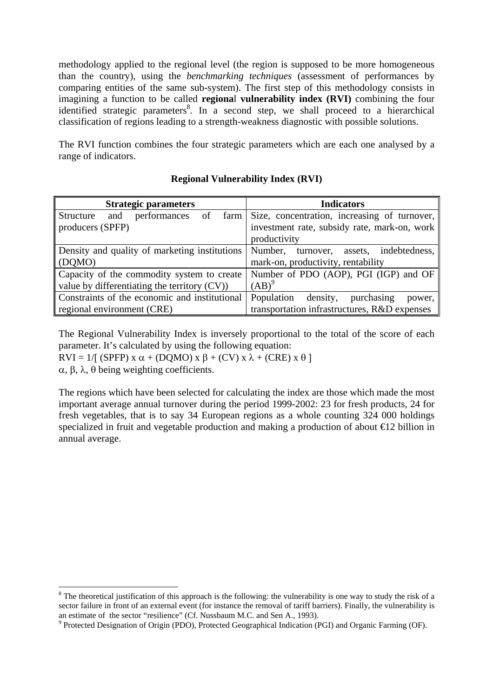methodology applied to the regional level (the region is supposed to be more homogeneous than the country), using the *benchmarking techniques* (assessment of performances by comparing entities of the same sub-system). The first step of this methodology consists in imagining a function to be called **regiona**l **vulnerability index (RVI)** combining the four identified strategic parameters<sup>8</sup>. In a second step, we shall proceed to a hierarchical classification of regions leading to a strength-weakness diagnostic with possible solutions.

The RVI function combines the four strategic parameters which are each one analysed by a range of indicators.

| <b>Strategic parameters</b>                     | <b>Indicators</b>                            |  |  |
|-------------------------------------------------|----------------------------------------------|--|--|
| Structure<br>performances<br>and<br>of<br>farm  | Size, concentration, increasing of turnover, |  |  |
| producers (SPFP)                                | investment rate, subsidy rate, mark-on, work |  |  |
|                                                 | productivity                                 |  |  |
| Density and quality of marketing institutions   | Number, turnover, assets, indebtedness,      |  |  |
| (DQMO)                                          | mark-on, productivity, rentability           |  |  |
| Capacity of the commodity system to create      | Number of PDO (AOP), PGI (IGP) and OF        |  |  |
| value by differentiating the territory $(CV)$ ) | $(AB)^9$                                     |  |  |
| Constraints of the economic and institutional   | Population<br>density, purchasing<br>power,  |  |  |
| regional environment (CRE)                      | transportation infrastructures, R&D expenses |  |  |

# **Regional Vulnerability Index (RVI)**

The Regional Vulnerability Index is inversely proportional to the total of the score of each parameter. It's calculated by using the following equation:

RVI = 1/[ (SPFP) x  $\alpha$  + (DQMO) x  $\beta$  + (CV) x  $\lambda$  + (CRE) x  $\theta$ ]

α, β, λ, θ being weighting coefficients.

1

The regions which have been selected for calculating the index are those which made the most important average annual turnover during the period 1999-2002: 23 for fresh products, 24 for fresh vegetables, that is to say 34 European regions as a whole counting 324 000 holdings specialized in fruit and vegetable production and making a production of about €12 billion in annual average.

 $8$  The theoretical justification of this approach is the following: the vulnerability is one way to study the risk of a sector failure in front of an external event (for instance the removal of tariff barriers). Finally, the vulnerability is an estimate of the sector "resilience" (Cf. Nussbaum M.C. and Sen A., 1993).

 $9$  Protected Designation of Origin (PDO), Protected Geographical Indication (PGI) and Organic Farming (OF).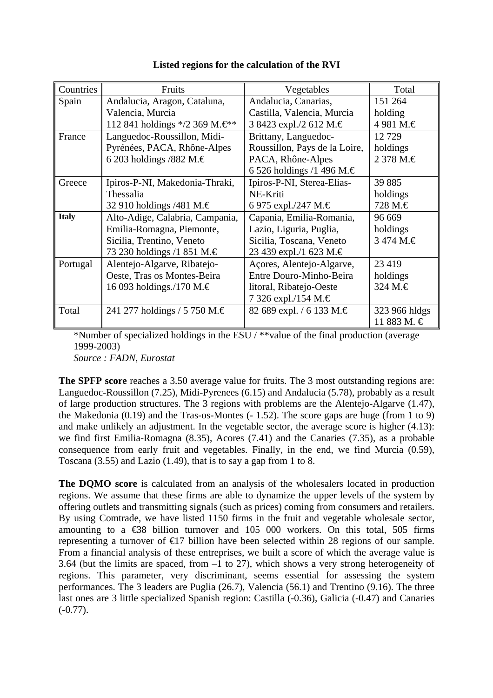| Countries    | Fruits                                          | Vegetables                    | Total         |
|--------------|-------------------------------------------------|-------------------------------|---------------|
| Spain        | Andalucia, Aragon, Cataluna,                    | Andalucia, Canarias,          | 151 264       |
|              | Valencia, Murcia                                | Castilla, Valencia, Murcia    | holding       |
|              | 112 841 holdings $*/2$ 369 M. $\in\mathbb{R}^*$ | 3 8423 expl./2 612 M.€        | 4981 M.€      |
| France       | Languedoc-Roussillon, Midi-                     | Brittany, Languedoc-          | 12729         |
|              | Pyrénées, PACA, Rhône-Alpes                     | Roussillon, Pays de la Loire, | holdings      |
|              | 6 203 holdings /882 M. $\in$                    | PACA, Rhône-Alpes             | 2 378 M.€     |
|              |                                                 | 6 526 holdings /1 496 M.€     |               |
| Greece       | Ipiros-P-NI, Makedonia-Thraki,                  | Ipiros-P-NI, Sterea-Elias-    | 39 885        |
|              | Thessalia                                       | NE-Kriti                      | holdings      |
|              | 32 910 holdings /481 M. $\in$                   | 6 975 expl./247 M.€           | 728 M.€       |
| <b>Italy</b> | Alto-Adige, Calabria, Campania,                 | Capania, Emilia-Romania,      | 96 669        |
|              | Emilia-Romagna, Piemonte,                       | Lazio, Liguria, Puglia,       | holdings      |
|              | Sicilia, Trentino, Veneto                       | Sicilia, Toscana, Veneto      | 3 474 M.€     |
|              | 73 230 holdings /1 851 M. $\in$                 | 23 439 expl./1 623 M.€        |               |
| Portugal     | Alentejo-Algarve, Ribatejo-                     | Açores, Alentejo-Algarve,     | 23 4 19       |
|              | Oeste, Tras os Montes-Beira                     | Entre Douro-Minho-Beira       | holdings      |
|              | 16 093 holdings./170 M.€                        | litoral, Ribatejo-Oeste       | 324 M.€       |
|              |                                                 | 7 326 expl./154 M.€           |               |
| Total        | 241 277 holdings / 5 750 M. $\in$               | 82 689 expl. / 6 133 M.€      | 323 966 hldgs |
|              |                                                 |                               | 11 883 M. €   |

### **Listed regions for the calculation of the RVI**

\*Number of specialized holdings in the ESU / \*\*value of the final production (average 1999-2003)

*Source : FADN, Eurostat* 

**The SPFP score** reaches a 3.50 average value for fruits. The 3 most outstanding regions are: Languedoc-Roussillon (7.25), Midi-Pyrenees (6.15) and Andalucia (5.78), probably as a result of large production structures. The 3 regions with problems are the Alentejo-Algarve (1.47), the Makedonia (0.19) and the Tras-os-Montes (- 1.52). The score gaps are huge (from 1 to 9) and make unlikely an adjustment. In the vegetable sector, the average score is higher (4.13): we find first Emilia-Romagna (8.35), Acores (7.41) and the Canaries (7.35), as a probable consequence from early fruit and vegetables. Finally, in the end, we find Murcia (0.59), Toscana (3.55) and Lazio (1.49), that is to say a gap from 1 to 8.

**The DQMO score** is calculated from an analysis of the wholesalers located in production regions. We assume that these firms are able to dynamize the upper levels of the system by offering outlets and transmitting signals (such as prices) coming from consumers and retailers. By using Comtrade, we have listed 1150 firms in the fruit and vegetable wholesale sector, amounting to a  $\epsilon$ 38 billion turnover and 105 000 workers. On this total, 505 firms representing a turnover of  $\epsilon$ 17 billion have been selected within 28 regions of our sample. From a financial analysis of these entreprises, we built a score of which the average value is 3.64 (but the limits are spaced, from –1 to 27), which shows a very strong heterogeneity of regions. This parameter, very discriminant, seems essential for assessing the system performances. The 3 leaders are Puglia (26.7), Valencia (56.1) and Trentino (9.16). The three last ones are 3 little specialized Spanish region: Castilla (-0.36), Galicia (-0.47) and Canaries  $(-0.77)$ .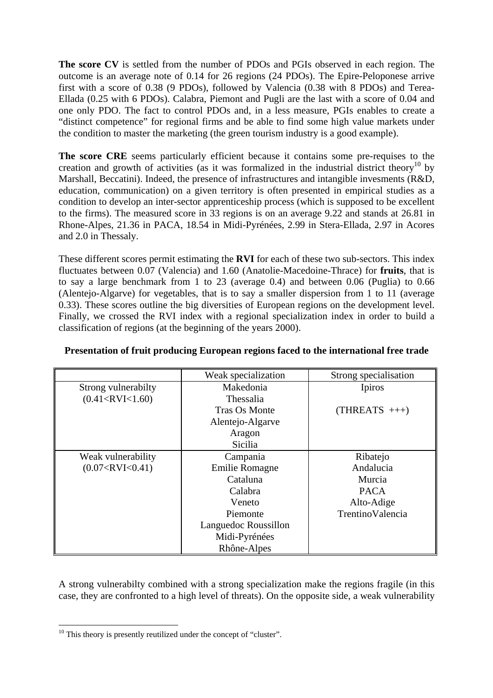**The score CV** is settled from the number of PDOs and PGIs observed in each region. The outcome is an average note of 0.14 for 26 regions (24 PDOs). The Epire-Peloponese arrive first with a score of 0.38 (9 PDOs), followed by Valencia (0.38 with 8 PDOs) and Terea-Ellada (0.25 with 6 PDOs). Calabra, Piemont and Pugli are the last with a score of 0.04 and one only PDO. The fact to control PDOs and, in a less measure, PGIs enables to create a "distinct competence" for regional firms and be able to find some high value markets under the condition to master the marketing (the green tourism industry is a good example).

**The score CRE** seems particularly efficient because it contains some pre-requises to the creation and growth of activities (as it was formalized in the industrial district theory<sup>10</sup> by Marshall, Beccatini). Indeed, the presence of infrastructures and intangible invesments (R&D, education, communication) on a given territory is often presented in empirical studies as a condition to develop an inter-sector apprenticeship process (which is supposed to be excellent to the firms). The measured score in 33 regions is on an average 9.22 and stands at 26.81 in Rhone-Alpes, 21.36 in PACA, 18.54 in Midi-Pyrénées, 2.99 in Stera-Ellada, 2.97 in Acores and 2.0 in Thessaly.

These different scores permit estimating the **RVI** for each of these two sub-sectors. This index fluctuates between 0.07 (Valencia) and 1.60 (Anatolie-Macedoine-Thrace) for **fruits**, that is to say a large benchmark from 1 to 23 (average 0.4) and between 0.06 (Puglia) to 0.66 (Alentejo-Algarve) for vegetables, that is to say a smaller dispersion from 1 to 11 (average 0.33). These scores outline the big diversities of European regions on the development level. Finally, we crossed the RVI index with a regional specialization index in order to build a classification of regions (at the beginning of the years 2000).

|                         | Weak specialization  | Strong specialisation |
|-------------------------|----------------------|-----------------------|
| Strong vulnerabilty     | Makedonia            | Ipiros                |
| $(0.41 <$ RVI $<$ 1.60) | Thessalia            |                       |
|                         | Tras Os Monte        | $(THREATS +++)$       |
|                         | Alentejo-Algarve     |                       |
|                         | Aragon               |                       |
|                         | <b>Sicilia</b>       |                       |
| Weak vulnerability      | Campania             | Ribatejo              |
| (0.07 < RV < 0.41)      | Emilie Romagne       | Andalucia             |
|                         | Cataluna             | Murcia                |
|                         | Calabra              | <b>PACA</b>           |
|                         | Veneto               | Alto-Adige            |
|                         | Piemonte             | TrentinoValencia      |
|                         | Languedoc Roussillon |                       |
|                         | Midi-Pyrénées        |                       |
|                         | Rhône-Alpes          |                       |

### **Presentation of fruit producing European regions faced to the international free trade**

A strong vulnerabilty combined with a strong specialization make the regions fragile (in this case, they are confronted to a high level of threats). On the opposite side, a weak vulnerability

 $10$  This theory is presently reutilized under the concept of "cluster".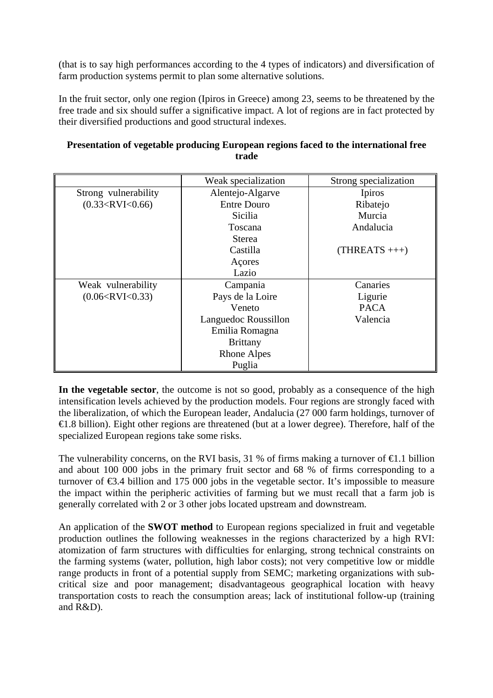(that is to say high performances according to the 4 types of indicators) and diversification of farm production systems permit to plan some alternative solutions.

In the fruit sector, only one region (Ipiros in Greece) among 23, seems to be threatened by the free trade and six should suffer a significative impact. A lot of regions are in fact protected by their diversified productions and good structural indexes.

|                      | Weak specialization  | Strong specialization |
|----------------------|----------------------|-----------------------|
| Strong vulnerability | Alentejo-Algarve     | Ipiros                |
| (0.33 < RVI < 0.66)  | <b>Entre Douro</b>   | Ribatejo              |
|                      | Sicilia              | Murcia                |
|                      | Toscana              | Andalucia             |
|                      | <b>Sterea</b>        |                       |
|                      | Castilla             | $(THREATS +++)$       |
|                      | Açores               |                       |
|                      | Lazio                |                       |
| Weak vulnerability   | Campania             | Canaries              |
| (0.06 < RV < 0.33)   | Pays de la Loire     | Ligurie               |
|                      | Veneto               | <b>PACA</b>           |
|                      | Languedoc Roussillon | Valencia              |
|                      | Emilia Romagna       |                       |
|                      | <b>Brittany</b>      |                       |
|                      | <b>Rhone Alpes</b>   |                       |
|                      | Puglia               |                       |

# **Presentation of vegetable producing European regions faced to the international free trade**

**In the vegetable sector**, the outcome is not so good, probably as a consequence of the high intensification levels achieved by the production models. Four regions are strongly faced with the liberalization, of which the European leader, Andalucia (27 000 farm holdings, turnover of €1.8 billion). Eight other regions are threatened (but at a lower degree). Therefore, half of the specialized European regions take some risks.

The vulnerability concerns, on the RVI basis, 31 % of firms making a turnover of  $\epsilon$ 1.1 billion and about 100 000 jobs in the primary fruit sector and 68 % of firms corresponding to a turnover of  $\epsilon$ 3.4 billion and 175 000 jobs in the vegetable sector. It's impossible to measure the impact within the peripheric activities of farming but we must recall that a farm job is generally correlated with 2 or 3 other jobs located upstream and downstream.

An application of the **SWOT method** to European regions specialized in fruit and vegetable production outlines the following weaknesses in the regions characterized by a high RVI: atomization of farm structures with difficulties for enlarging, strong technical constraints on the farming systems (water, pollution, high labor costs); not very competitive low or middle range products in front of a potential supply from SEMC; marketing organizations with subcritical size and poor management; disadvantageous geographical location with heavy transportation costs to reach the consumption areas; lack of institutional follow-up (training and R&D).